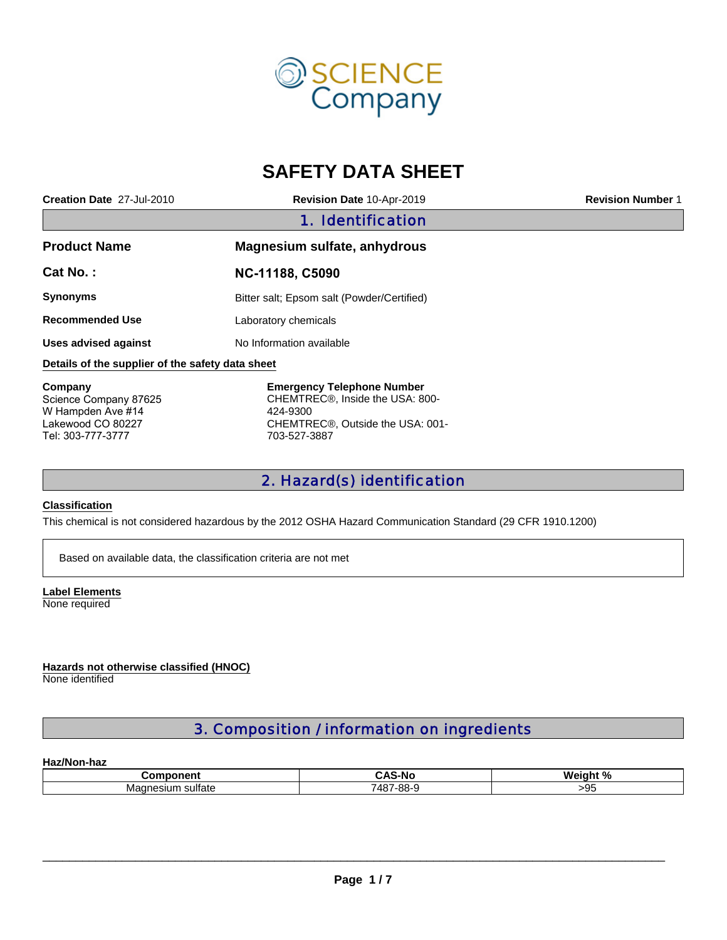

# **SAFETY DATA SHEET**

| Creation Date 27-Jul-2010                        | Revision Date 10-Apr-2019                                                         | <b>Revision Number 1</b> |  |
|--------------------------------------------------|-----------------------------------------------------------------------------------|--------------------------|--|
|                                                  | 1. Identification                                                                 |                          |  |
| <b>Product Name</b>                              | Magnesium sulfate, anhydrous                                                      |                          |  |
| Cat No.:                                         | NC-11188, C5090                                                                   |                          |  |
| <b>Synonyms</b>                                  | Bitter salt; Epsom salt (Powder/Certified)                                        |                          |  |
| <b>Recommended Use</b>                           | Laboratory chemicals                                                              |                          |  |
| Uses advised against                             | No Information available                                                          |                          |  |
| Details of the supplier of the safety data sheet |                                                                                   |                          |  |
| Company<br>Science Company 87625                 | <b>Emergency Telephone Number</b><br>CHEMTREC <sup>®</sup> , Inside the USA: 800- |                          |  |

W Hampden Ave #14 Lakewood CO 80227 Tel: 303-777-3777

424-9300 CHEMTREC®, Outside the USA: 001- 703-527-3887

## 2. Hazard(s) identification

#### **Classification**

This chemical is not considered hazardous by the 2012 OSHA Hazard Communication Standard (29 CFR 1910.1200)

Based on available data, the classification criteria are not met

**Label Elements** None required

**Hazards not otherwise classified (HNOC)** None identified

## 3. Composition / information on ingredients

### **Haz/Non-haz**

| .<br>$- -$                        |                       | W |
|-----------------------------------|-----------------------|---|
| $-1$<br>.<br>ма<br>suirate<br>511 | 00<br>.<br>$-222 - 1$ | ึ |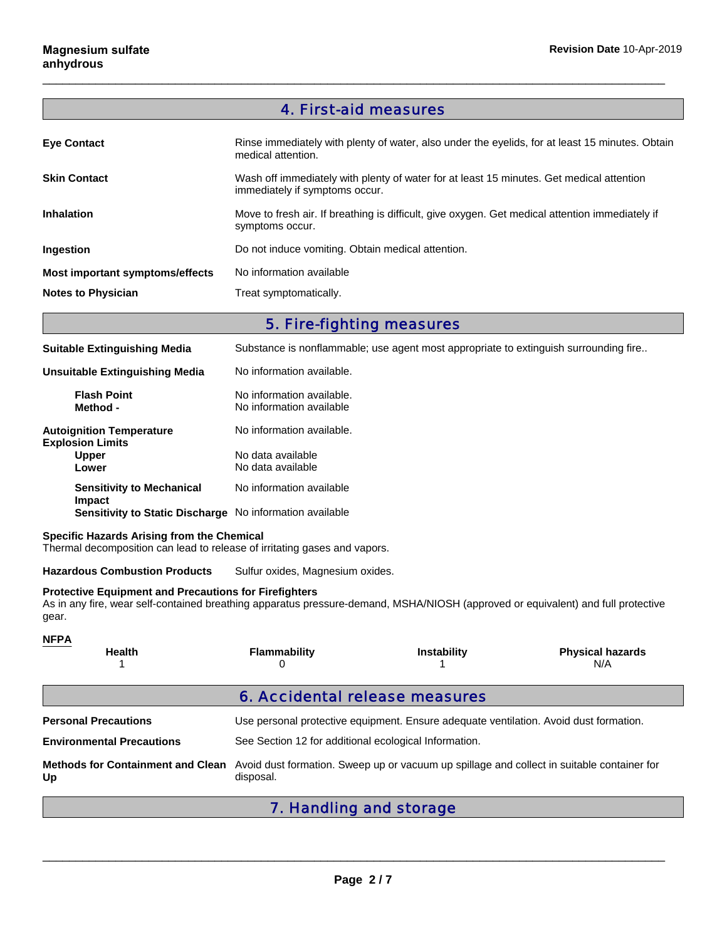# 4. First-aid measures

 $\Box$ 

| <b>Eye Contact</b>              | Rinse immediately with plenty of water, also under the eyelids, for at least 15 minutes. Obtain<br>medical attention.      |
|---------------------------------|----------------------------------------------------------------------------------------------------------------------------|
| <b>Skin Contact</b>             | Wash off immediately with plenty of water for at least 15 minutes. Get medical attention<br>immediately if symptoms occur. |
| <b>Inhalation</b>               | Move to fresh air. If breathing is difficult, give oxygen. Get medical attention immediately if<br>symptoms occur.         |
| Ingestion                       | Do not induce vomiting. Obtain medical attention.                                                                          |
| Most important symptoms/effects | No information available                                                                                                   |
| <b>Notes to Physician</b>       | Treat symptomatically.                                                                                                     |

## 5. Fire-fighting measures

| <b>Suitable Extinguishing Media</b>                             | Substance is nonflammable; use agent most appropriate to extinguish surrounding fire |
|-----------------------------------------------------------------|--------------------------------------------------------------------------------------|
| Unsuitable Extinguishing Media                                  | No information available.                                                            |
| <b>Flash Point</b><br>Method -                                  | No information available.<br>No information available                                |
| <b>Autoignition Temperature</b><br><b>Explosion Limits</b>      | No information available.                                                            |
| <b>Upper</b><br>Lower                                           | No data available<br>No data available                                               |
| <b>Sensitivity to Mechanical</b><br>Impact                      | No information available                                                             |
| <b>Sensitivity to Static Discharge</b> No information available |                                                                                      |

#### **Specific Hazards Arising from the Chemical**

Thermal decomposition can lead to release of irritating gases and vapors.

**Hazardous Combustion Products** Sulfur oxides, Magnesium oxides.

#### **Protective Equipment and Precautions for Firefighters**

As in any fire, wear self-contained breathing apparatus pressure-demand, MSHA/NIOSH (approved or equivalent) and full protective gear.

| <b>NFPA</b><br><b>Health</b>                                                                                                                              | <b>Flammability</b><br>0 | <b>Instability</b>             | <b>Physical hazards</b><br>N/A |  |
|-----------------------------------------------------------------------------------------------------------------------------------------------------------|--------------------------|--------------------------------|--------------------------------|--|
|                                                                                                                                                           |                          | 6. Accidental release measures |                                |  |
| Use personal protective equipment. Ensure adequate ventilation. Avoid dust formation.<br><b>Personal Precautions</b>                                      |                          |                                |                                |  |
| See Section 12 for additional ecological Information.<br><b>Environmental Precautions</b>                                                                 |                          |                                |                                |  |
| Avoid dust formation. Sweep up or vacuum up spillage and collect in suitable container for<br><b>Methods for Containment and Clean</b><br>disposal.<br>Up |                          |                                |                                |  |
|                                                                                                                                                           |                          | 7. Handling and storage        |                                |  |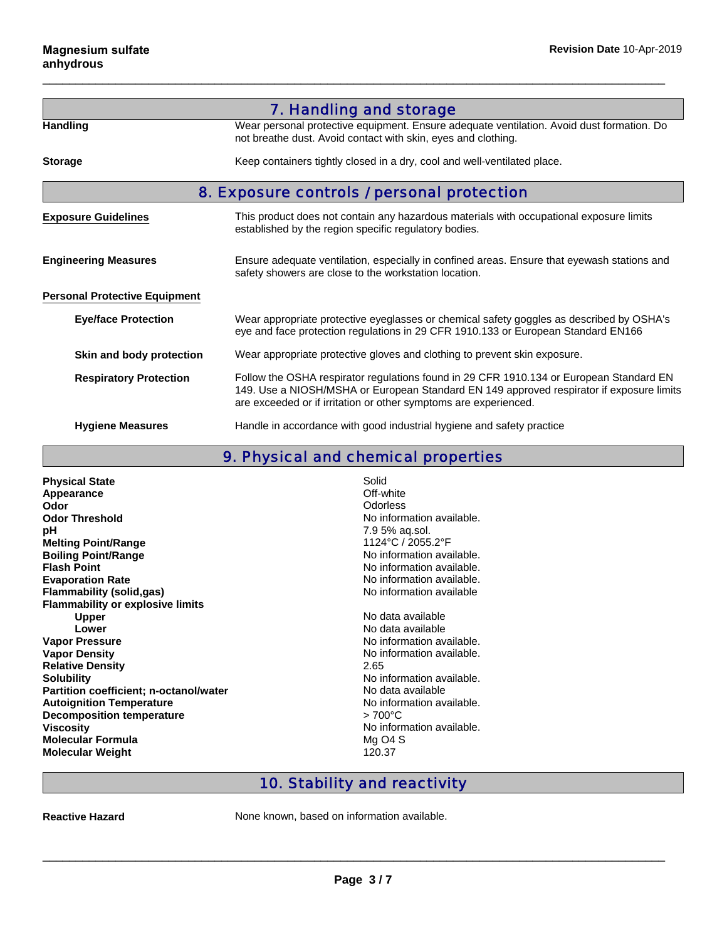|                                      | 7. Handling and storage                                                                                                                                                                                                                                 |  |  |
|--------------------------------------|---------------------------------------------------------------------------------------------------------------------------------------------------------------------------------------------------------------------------------------------------------|--|--|
| <b>Handling</b>                      | Wear personal protective equipment. Ensure adequate ventilation. Avoid dust formation. Do<br>not breathe dust. Avoid contact with skin, eyes and clothing.                                                                                              |  |  |
| <b>Storage</b>                       | Keep containers tightly closed in a dry, cool and well-ventilated place.                                                                                                                                                                                |  |  |
|                                      | 8. Exposure controls / personal protection                                                                                                                                                                                                              |  |  |
| <b>Exposure Guidelines</b>           | This product does not contain any hazardous materials with occupational exposure limits<br>established by the region specific regulatory bodies.                                                                                                        |  |  |
| <b>Engineering Measures</b>          | Ensure adequate ventilation, especially in confined areas. Ensure that eyewash stations and<br>safety showers are close to the workstation location.                                                                                                    |  |  |
| <b>Personal Protective Equipment</b> |                                                                                                                                                                                                                                                         |  |  |
| <b>Eye/face Protection</b>           | Wear appropriate protective eyeglasses or chemical safety goggles as described by OSHA's<br>eye and face protection regulations in 29 CFR 1910.133 or European Standard EN166                                                                           |  |  |
| Skin and body protection             | Wear appropriate protective gloves and clothing to prevent skin exposure.                                                                                                                                                                               |  |  |
| <b>Respiratory Protection</b>        | Follow the OSHA respirator regulations found in 29 CFR 1910.134 or European Standard EN<br>149. Use a NIOSH/MSHA or European Standard EN 149 approved respirator if exposure limits<br>are exceeded or if irritation or other symptoms are experienced. |  |  |
| <b>Hygiene Measures</b>              | Handle in accordance with good industrial hygiene and safety practice                                                                                                                                                                                   |  |  |

 $\Box$ 

9. Physical and chemical properties

| <b>Physical State</b>                   | Solid               |
|-----------------------------------------|---------------------|
| <b>Appearance</b>                       | Off-white           |
| Odor                                    | Odorless            |
| <b>Odor Threshold</b>                   | No inforn           |
| рH                                      | 7.9 5% a            |
| <b>Melting Point/Range</b>              | 1124°C/             |
| <b>Boiling Point/Range</b>              | No inforn           |
| <b>Flash Point</b>                      | No inforn           |
| <b>Evaporation Rate</b>                 | No inforn           |
| Flammability (solid,gas)                | No inforn           |
| <b>Flammability or explosive limits</b> |                     |
| <b>Upper</b>                            | No data a           |
| Lower                                   | No data a           |
| <b>Vapor Pressure</b>                   | No inforn           |
| <b>Vapor Density</b>                    | No inforn           |
| <b>Relative Density</b>                 | 2.65                |
| <b>Solubility</b>                       | No inforn           |
| Partition coefficient; n-octanol/water  | No data a           |
| <b>Autoignition Temperature</b>         | No inforn           |
| <b>Decomposition temperature</b>        | $>700^{\circ}$ C    |
| <b>Viscosity</b>                        | No inforn           |
| <b>Molecular Formula</b>                | Mg O <sub>4</sub> S |
| <b>Molecular Weight</b>                 | 120.37              |
|                                         |                     |

No information available. **pH** 7.9 5% aq.sol. **Melting Point/Range** 1124°C / 2055.2°F **No information available. No information available.** No information available. **No information available** 

**Upper** No data available No data available **No information available. No information available.**<br>2.65 No information available. **No data available No information available. Decomposition temperature** > 700°C **Viscosity** No information available. **Mg O4 S**<br>120.37

## 10. Stability and reactivity

**Reactive Hazard** None known, based on information available.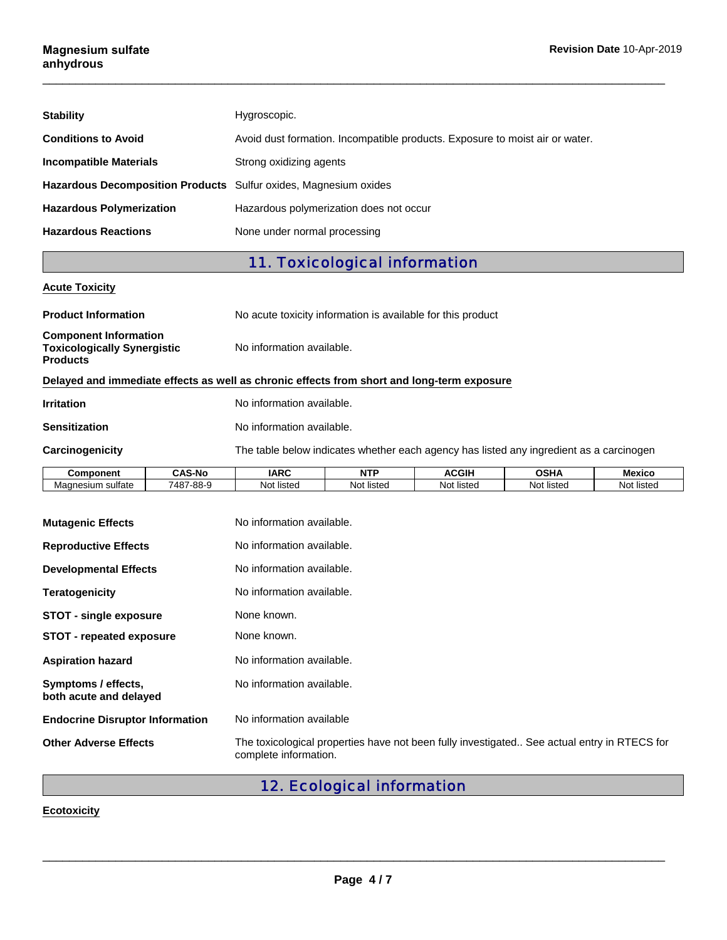| <b>Stability</b>                                                 | Hygroscopic.                                                                 |
|------------------------------------------------------------------|------------------------------------------------------------------------------|
| <b>Conditions to Avoid</b>                                       | Avoid dust formation. Incompatible products. Exposure to moist air or water. |
| <b>Incompatible Materials</b>                                    | Strong oxidizing agents                                                      |
| Hazardous Decomposition Products Sulfur oxides, Magnesium oxides |                                                                              |
| <b>Hazardous Polymerization</b>                                  | Hazardous polymerization does not occur                                      |
| <b>Hazardous Reactions</b>                                       | None under normal processing                                                 |

 $\Box$ 

# 11. Toxicological information

### **Acute Toxicity**

| <b>Product Information</b>                                                                 |                           |                                                                                         |          |          |   |  |  |
|--------------------------------------------------------------------------------------------|---------------------------|-----------------------------------------------------------------------------------------|----------|----------|---|--|--|
|                                                                                            |                           | No acute toxicity information is available for this product                             |          |          |   |  |  |
| <b>Component Information</b><br><b>Toxicologically Synergistic</b><br><b>Products</b>      |                           | No information available.                                                               |          |          |   |  |  |
| Delayed and immediate effects as well as chronic effects from short and long-term exposure |                           |                                                                                         |          |          |   |  |  |
| <b>Irritation</b>                                                                          | No information available. |                                                                                         |          |          |   |  |  |
| <b>Sensitization</b>                                                                       | No information available. |                                                                                         |          |          |   |  |  |
| Carcinogenicity                                                                            |                           | The table below indicates whether each agency has listed any ingredient as a carcinogen |          |          |   |  |  |
| $\sim$ $\sim$ $\sim$                                                                       | $\cdots$<br>.             |                                                                                         | 1.0.0111 | $\cdots$ | . |  |  |

| <b>Component</b>                    | <b>AS-No</b><br>-00 | <b>IARC</b>     | NTF                  | ACGIH          | OSHA               | <b>Mexicc</b> |
|-------------------------------------|---------------------|-----------------|----------------------|----------------|--------------------|---------------|
| . .<br>sulfate<br>Magnesium<br>viau | 7487-88-9           | listec<br>Not 1 | .<br>⊺listec<br>Not. | <br>Not listeo | .<br>Νo<br>≒listec | No<br>listec  |

| <b>Mutagenic Effects</b>                      | No information available.                                                                                            |
|-----------------------------------------------|----------------------------------------------------------------------------------------------------------------------|
| <b>Reproductive Effects</b>                   | No information available.                                                                                            |
| <b>Developmental Effects</b>                  | No information available.                                                                                            |
| <b>Teratogenicity</b>                         | No information available.                                                                                            |
| STOT - single exposure                        | None known.                                                                                                          |
| <b>STOT</b> - repeated exposure               | None known.                                                                                                          |
| <b>Aspiration hazard</b>                      | No information available.                                                                                            |
| Symptoms / effects,<br>both acute and delayed | No information available.                                                                                            |
| <b>Endocrine Disruptor Information</b>        | No information available                                                                                             |
| <b>Other Adverse Effects</b>                  | The toxicological properties have not been fully investigated See actual entry in RTECS for<br>complete information. |

# 12. Ecological information

### **Ecotoxicity**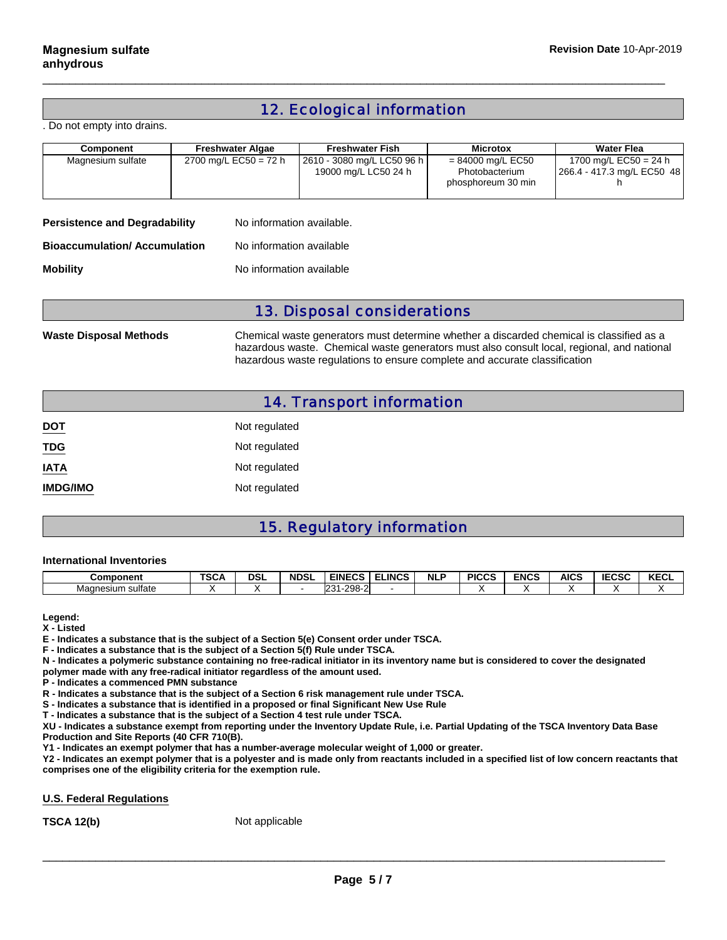# 12. Ecological information

 $\Box$ 

. Do not empty into drains.

| Component                                                         | <b>Freshwater Algae</b> | <b>Freshwater Fish</b>                             | <b>Microtox</b>                                             | <b>Water Flea</b>                                   |  |
|-------------------------------------------------------------------|-------------------------|----------------------------------------------------|-------------------------------------------------------------|-----------------------------------------------------|--|
| Magnesium sulfate                                                 | 2700 mg/L EC50 = 72 h   | 2610 - 3080 mg/L LC50 96 h<br>19000 mg/L LC50 24 h | $= 84000$ mg/L EC50<br>Photobacterium<br>phosphoreum 30 min | 1700 mg/L EC50 = 24 h<br>266.4 - 417.3 mg/L EC50 48 |  |
| <b>Persistence and Degradability</b><br>No information available. |                         |                                                    |                                                             |                                                     |  |

**Bioaccumulation/ Accumulation** No information available

**Mobility** Moinformation available

### 13. Disposal considerations

**Waste Disposal Methods** Chemical waste generators must determine whether a discarded chemical is classified as a hazardous waste. Chemical waste generators must also consult local, regional, and national hazardous waste regulations to ensure complete and accurate classification

|  | <b>14. Transport information</b> |
|--|----------------------------------|
|  |                                  |

| <b>DOT</b>      | Not regulated |
|-----------------|---------------|
| <b>TDG</b>      | Not regulated |
| <b>IATA</b>     | Not regulated |
| <b>IMDG/IMO</b> | Not regulated |

# 15. Regulatory information

#### **International Inventories**

| Component            | $T^{\wedge}$<br>ישפּ | <b>DSL</b> | <b>NDSL</b> | <b>EINECS</b>          | <b>ELINCS</b> | <b>NLP</b> | <b>PICCS</b> | <b>ENCS</b> | <b>AICS</b> | <b>IECSC</b> | $V = 0$<br>ncul |
|----------------------|----------------------|------------|-------------|------------------------|---------------|------------|--------------|-------------|-------------|--------------|-----------------|
| sulfate<br>Magnesium |                      |            |             | ാറാ<br>ר ה<br>w<br>20U |               |            |              |             |             |              |                 |

**Legend:**

**X - Listed**

**E - Indicates a substance that is the subject of a Section 5(e) Consent order under TSCA.**

**F - Indicates a substance that is the subject of a Section 5(f) Rule under TSCA.**

**N - Indicates a polymeric substance containing no free-radical initiator in its inventory name but is considered to cover the designated polymer made with any free-radical initiator regardless of the amount used.**

**P - Indicates a commenced PMN substance**

**R - Indicates a substance that is the subject of a Section 6 risk management rule under TSCA.**

**S - Indicates a substance that is identified in a proposed or final Significant New Use Rule**

**T - Indicates a substance that is the subject of a Section 4 test rule under TSCA.**

**XU - Indicates a substance exempt from reporting under the Inventory Update Rule, i.e. Partial Updating of the TSCA Inventory Data Base Production and Site Reports (40 CFR 710(B).**

**Y1 - Indicates an exempt polymer that has a number-average molecular weight of 1,000 or greater.**

**Y2 - Indicates an exempt polymer that is a polyester and is made only from reactants included in a specified list of low concern reactants that comprises one of the eligibility criteria for the exemption rule.**

#### **U.S. Federal Regulations**

**TSCA 12(b)** Not applicable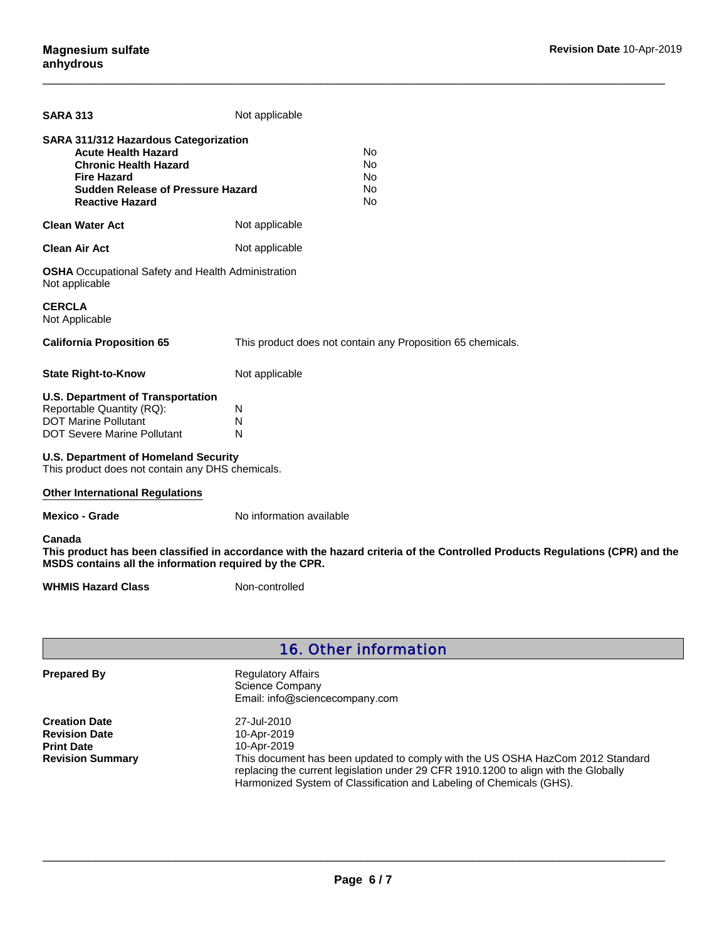| <b>SARA 313</b>                                                                                                                                                                                        | Not applicable                                              |                                                                                                                              |  |
|--------------------------------------------------------------------------------------------------------------------------------------------------------------------------------------------------------|-------------------------------------------------------------|------------------------------------------------------------------------------------------------------------------------------|--|
| <b>SARA 311/312 Hazardous Categorization</b><br><b>Acute Health Hazard</b><br><b>Chronic Health Hazard</b><br><b>Fire Hazard</b><br><b>Sudden Release of Pressure Hazard</b><br><b>Reactive Hazard</b> |                                                             | <b>No</b><br><b>No</b><br>No<br><b>No</b><br>No                                                                              |  |
| <b>Clean Water Act</b>                                                                                                                                                                                 | Not applicable                                              |                                                                                                                              |  |
| <b>Clean Air Act</b>                                                                                                                                                                                   | Not applicable                                              |                                                                                                                              |  |
| <b>OSHA</b> Occupational Safety and Health Administration<br>Not applicable                                                                                                                            |                                                             |                                                                                                                              |  |
| <b>CERCLA</b><br>Not Applicable                                                                                                                                                                        |                                                             |                                                                                                                              |  |
| <b>California Proposition 65</b>                                                                                                                                                                       | This product does not contain any Proposition 65 chemicals. |                                                                                                                              |  |
| <b>State Right-to-Know</b>                                                                                                                                                                             | Not applicable                                              |                                                                                                                              |  |
| <b>U.S. Department of Transportation</b><br>Reportable Quantity (RQ):<br><b>DOT Marine Pollutant</b><br><b>DOT Severe Marine Pollutant</b>                                                             | N<br>N<br>N                                                 |                                                                                                                              |  |
| <b>U.S. Department of Homeland Security</b><br>This product does not contain any DHS chemicals.                                                                                                        |                                                             |                                                                                                                              |  |
| <b>Other International Regulations</b>                                                                                                                                                                 |                                                             |                                                                                                                              |  |
| <b>Mexico - Grade</b>                                                                                                                                                                                  | No information available                                    |                                                                                                                              |  |
| Canada<br>MSDS contains all the information required by the CPR.                                                                                                                                       |                                                             | This product has been classified in accordance with the hazard criteria of the Controlled Products Regulations (CPR) and the |  |
| <b>WHMIS Hazard Class</b>                                                                                                                                                                              | Non-controlled                                              |                                                                                                                              |  |

 $\Box$ 

# 16. Other information

Regulatory Affairs Science Company Email: info@sciencecompany.com

**Creation Date Revision Date Print Date Revision Summary** 27-Jul-2010 10-Apr-2019 10-Apr-2019 This document has been updated to comply with the US OSHA HazCom 2012 Standard replacing the current legislation under 29 CFR 1910.1200 to align with the Globally Harmonized System of Classification and Labeling of Chemicals (GHS).